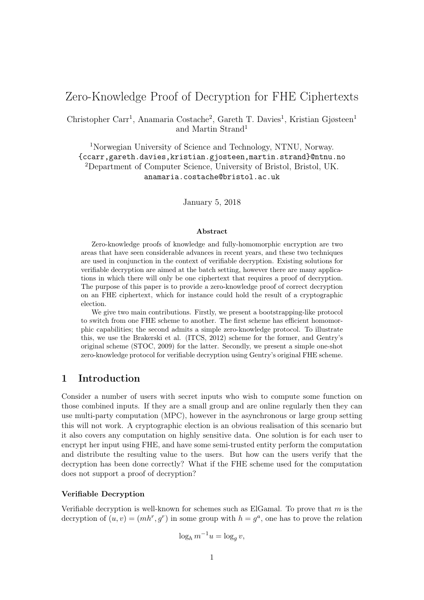# Zero-Knowledge Proof of Decryption for FHE Ciphertexts

Christopher Carr<sup>1</sup>, Anamaria Costache<sup>2</sup>, Gareth T. Davies<sup>1</sup>, Kristian Gjøsteen<sup>1</sup> and Martin Strand<sup>1</sup>

<sup>1</sup>Norwegian University of Science and Technology, NTNU, Norway. {ccarr,gareth.davies,kristian.gjosteen,martin.strand}@ntnu.no <sup>2</sup>Department of Computer Science, University of Bristol, Bristol, UK. anamaria.costache@bristol.ac.uk

January 5, 2018

#### Abstract

Zero-knowledge proofs of knowledge and fully-homomorphic encryption are two areas that have seen considerable advances in recent years, and these two techniques are used in conjunction in the context of verifiable decryption. Existing solutions for verifiable decryption are aimed at the batch setting, however there are many applications in which there will only be one ciphertext that requires a proof of decryption. The purpose of this paper is to provide a zero-knowledge proof of correct decryption on an FHE ciphertext, which for instance could hold the result of a cryptographic election.

We give two main contributions. Firstly, we present a bootstrapping-like protocol to switch from one FHE scheme to another. The first scheme has efficient homomorphic capabilities; the second admits a simple zero-knowledge protocol. To illustrate this, we use the Brakerski et al. (ITCS, 2012) scheme for the former, and Gentry's original scheme (STOC, 2009) for the latter. Secondly, we present a simple one-shot zero-knowledge protocol for verifiable decryption using Gentry's original FHE scheme.

# 1 Introduction

Consider a number of users with secret inputs who wish to compute some function on those combined inputs. If they are a small group and are online regularly then they can use multi-party computation (MPC), however in the asynchronous or large group setting this will not work. A cryptographic election is an obvious realisation of this scenario but it also covers any computation on highly sensitive data. One solution is for each user to encrypt her input using FHE, and have some semi-trusted entity perform the computation and distribute the resulting value to the users. But how can the users verify that the decryption has been done correctly? What if the FHE scheme used for the computation does not support a proof of decryption?

#### Verifiable Decryption

Verifiable decryption is well-known for schemes such as ElGamal. To prove that  $m$  is the decryption of  $(u, v) = (mh^r, g^r)$  in some group with  $h = g^a$ , one has to prove the relation

$$
\log_h m^{-1} u = \log_g v,
$$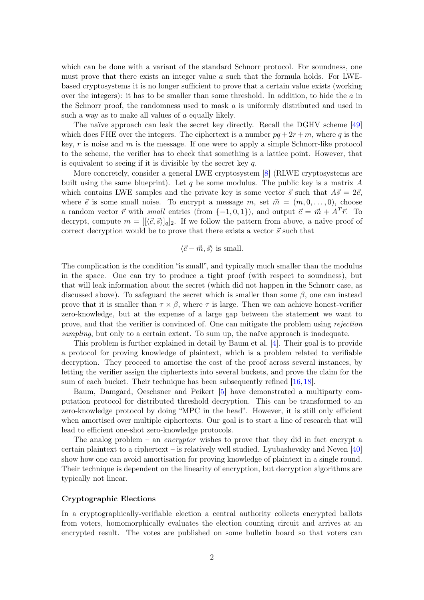<span id="page-1-0"></span>which can be done with a variant of the standard Schnorr protocol. For soundness, one must prove that there exists an integer value  $a$  such that the formula holds. For LWEbased cryptosystems it is no longer sufficient to prove that a certain value exists (working over the integers): it has to be smaller than some threshold. In addition, to hide the  $a$  in the Schnorr proof, the randomness used to mask a is uniformly distributed and used in such a way as to make all values of a equally likely.

The naïve approach can leak the secret key directly. Recall the DGHV scheme [\[49\]](#page-15-0) which does FHE over the integers. The ciphertext is a number  $pq + 2r + m$ , where q is the key,  $r$  is noise and  $m$  is the message. If one were to apply a simple Schnorr-like protocol to the scheme, the verifier has to check that something is a lattice point. However, that is equivalent to seeing if it is divisible by the secret key  $q$ .

More concretely, consider a general LWE cryptosystem [\[8\]](#page-12-0) (RLWE cryptosystems are built using the same blueprint). Let q be some modulus. The public key is a matrix  $A$ which contains LWE samples and the private key is some vector  $\vec{s}$  such that  $A\vec{s} = 2\vec{e}$ , where  $\vec{e}$  is some small noise. To encrypt a message m, set  $\vec{m} = (m, 0, \ldots, 0)$ , choose a random vector  $\vec{r}$  with small entries (from {-1,0,1}), and output  $\vec{c} = \vec{m} + A^T \vec{r}$ . To decrypt, compute  $m = [(\vec{c}, \vec{s})]_q]_2$ . If we follow the pattern from above, a naïve proof of correct decryption would be to prove that there exists a vector  $\vec{s}$  such that

### $\langle \vec{c} - \vec{m}, \vec{s} \rangle$  is small.

The complication is the condition "is small", and typically much smaller than the modulus in the space. One can try to produce a tight proof (with respect to soundness), but that will leak information about the secret (which did not happen in the Schnorr case, as discussed above). To safeguard the secret which is smaller than some  $\beta$ , one can instead prove that it is smaller than  $\tau \times \beta$ , where  $\tau$  is large. Then we can achieve honest-verifier zero-knowledge, but at the expense of a large gap between the statement we want to prove, and that the verifier is convinced of. One can mitigate the problem using rejection sampling, but only to a certain extent. To sum up, the naïve approach is inadequate.

This problem is further explained in detail by Baum et al. [\[4\]](#page-12-1). Their goal is to provide a protocol for proving knowledge of plaintext, which is a problem related to verifiable decryption. They proceed to amortise the cost of the proof across several instances, by letting the verifier assign the ciphertexts into several buckets, and prove the claim for the sum of each bucket. Their technique has been subsequently refined [\[16,](#page-13-0) [18\]](#page-13-1).

Baum, Damgård, Oeschsner and Peikert [\[5\]](#page-12-2) have demonstrated a multiparty computation protocol for distributed threshold decryption. This can be transformed to an zero-knowledge protocol by doing "MPC in the head". However, it is still only efficient when amortised over multiple ciphertexts. Our goal is to start a line of research that will lead to efficient one-shot zero-knowledge protocols.

The analog problem – an *encryptor* wishes to prove that they did in fact encrypt a certain plaintext to a ciphertext – is relatively well studied. Lyubashevsky and Neven  $[40]$ show how one can avoid amortisation for proving knowledge of plaintext in a single round. Their technique is dependent on the linearity of encryption, but decryption algorithms are typically not linear.

#### Cryptographic Elections

In a cryptographically-verifiable election a central authority collects encrypted ballots from voters, homomorphically evaluates the election counting circuit and arrives at an encrypted result. The votes are published on some bulletin board so that voters can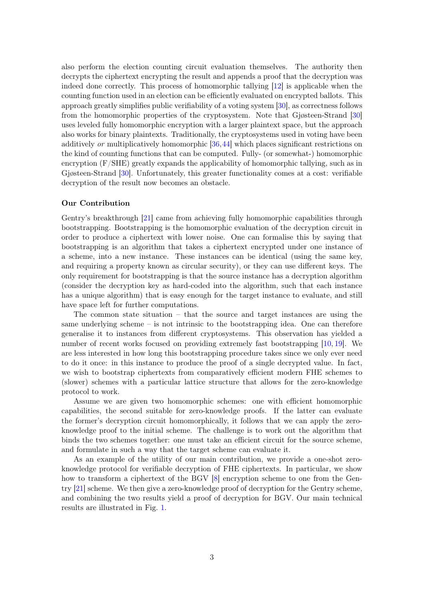<span id="page-2-1"></span>also perform the election counting circuit evaluation themselves. The authority then decrypts the ciphertext encrypting the result and appends a proof that the decryption was indeed done correctly. This process of homomorphic tallying [\[12\]](#page-12-3) is applicable when the counting function used in an election can be efficiently evaluated on encrypted ballots. This approach greatly simplifies public verifiability of a voting system [\[30\]](#page-14-0), as correctness follows from the homomorphic properties of the cryptosystem. Note that Gjøsteen-Strand [\[30\]](#page-14-0) uses leveled fully homomorphic encryption with a larger plaintext space, but the approach also works for binary plaintexts. Traditionally, the cryptosystems used in voting have been additively or multiplicatively homomorphic [\[36,](#page-14-1)[44\]](#page-15-2) which places significant restrictions on the kind of counting functions that can be computed. Fully- (or somewhat-) homomorphic encryption  $(F/SHE)$  greatly expands the applicability of homomorphic tallying, such as in Gjøsteen-Strand [\[30\]](#page-14-0). Unfortunately, this greater functionality comes at a cost: verifiable decryption of the result now becomes an obstacle.

#### <span id="page-2-0"></span>Our Contribution

Gentry's breakthrough [\[21\]](#page-13-2) came from achieving fully homomorphic capabilities through bootstrapping. Bootstrapping is the homomorphic evaluation of the decryption circuit in order to produce a ciphertext with lower noise. One can formalise this by saying that bootstrapping is an algorithm that takes a ciphertext encrypted under one instance of a scheme, into a new instance. These instances can be identical (using the same key, and requiring a property known as circular security), or they can use different keys. The only requirement for bootstrapping is that the source instance has a decryption algorithm (consider the decryption key as hard-coded into the algorithm, such that each instance has a unique algorithm) that is easy enough for the target instance to evaluate, and still have space left for further computations.

The common state situation – that the source and target instances are using the same underlying scheme  $-$  is not intrinsic to the bootstrapping idea. One can therefore generalise it to instances from different cryptosystems. This observation has yielded a number of recent works focused on providing extremely fast bootstrapping [\[10,](#page-12-4) [19\]](#page-13-3). We are less interested in how long this bootstrapping procedure takes since we only ever need to do it once: in this instance to produce the proof of a single decrypted value. In fact, we wish to bootstrap ciphertexts from comparatively efficient modern FHE schemes to (slower) schemes with a particular lattice structure that allows for the zero-knowledge protocol to work.

Assume we are given two homomorphic schemes: one with efficient homomorphic capabilities, the second suitable for zero-knowledge proofs. If the latter can evaluate the former's decryption circuit homomorphically, it follows that we can apply the zeroknowledge proof to the initial scheme. The challenge is to work out the algorithm that binds the two schemes together: one must take an efficient circuit for the source scheme, and formulate in such a way that the target scheme can evaluate it.

As an example of the utility of our main contribution, we provide a one-shot zeroknowledge protocol for verifiable decryption of FHE ciphertexts. In particular, we show how to transform a ciphertext of the BGV [\[8\]](#page-12-0) encryption scheme to one from the Gentry [\[21\]](#page-13-2) scheme. We then give a zero-knowledge proof of decryption for the Gentry scheme, and combining the two results yield a proof of decryption for BGV. Our main technical results are illustrated in Fig. [1.](#page-2-0)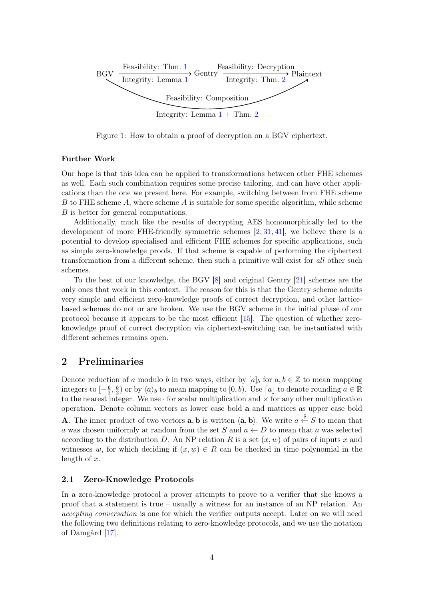<span id="page-3-0"></span>

Figure 1: How to obtain a proof of decryption on a BGV ciphertext.

### Further Work

Our hope is that this idea can be applied to transformations between other FHE schemes as well. Each such combination requires some precise tailoring, and can have other applications than the one we present here. For example, switching between from FHE scheme B to FHE scheme  $A$ , where scheme  $A$  is suitable for some specific algorithm, while scheme B is better for general computations.

Additionally, much like the results of decrypting AES homomorphically led to the development of more FHE-friendly symmetric schemes [\[2,](#page-12-5) [31,](#page-14-2) [41\]](#page-15-3), we believe there is a potential to develop specialised and efficient FHE schemes for specific applications, such as simple zero-knowledge proofs. If that scheme is capable of performing the ciphertext transformation from a different scheme, then such a primitive will exist for all other such schemes.

To the best of our knowledge, the BGV [\[8\]](#page-12-0) and original Gentry [\[21\]](#page-13-2) schemes are the only ones that work in this context. The reason for this is that the Gentry scheme admits very simple and efficient zero-knowledge proofs of correct decryption, and other latticebased schemes do not or are broken. We use the BGV scheme in the initial phase of our protocol because it appears to be the most efficient [\[15\]](#page-13-4). The question of whether zeroknowledge proof of correct decryption via ciphertext-switching can be instantiated with different schemes remains open.

## 2 Preliminaries

Denote reduction of a modulo b in two ways, either by  $[a]_b$  for  $a, b \in \mathbb{Z}$  to mean mapping integers to  $\left[-\frac{b}{2}\right]$  $\frac{b}{2}, \frac{b}{2}$  $\frac{b}{2}$  or by  $\langle a \rangle_b$  to mean mapping to  $[0, b)$ . Use  $\lceil a \rfloor$  to denote rounding  $a \in \mathbb{R}$ to the nearest integer. We use  $\cdot$  for scalar multiplication and  $\times$  for any other multiplication operation. Denote column vectors as lower case bold a and matrices as upper case bold **A**. The inner product of two vectors **a**, **b** is written  $\langle \mathbf{a}, \mathbf{b} \rangle$ . We write  $a \stackrel{\$}{\leftarrow} S$  to mean that a was chosen uniformly at random from the set S and  $a \leftarrow D$  to mean that a was selected according to the distribution D. An NP relation R is a set  $(x, w)$  of pairs of inputs x and witnesses w, for which deciding if  $(x, w) \in R$  can be checked in time polynomial in the length of  $x$ .

### 2.1 Zero-Knowledge Protocols

In a zero-knowledge protocol a prover attempts to prove to a verifier that she knows a proof that a statement is true – usually a witness for an instance of an NP relation. An accepting conversation is one for which the verifier outputs accept. Later on we will need the following two definitions relating to zero-knowledge protocols, and we use the notation of Damgård [\[17\]](#page-13-5).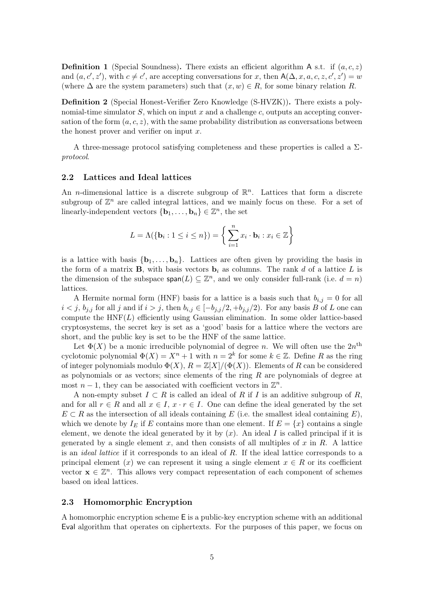**Definition 1** (Special Soundness). There exists an efficient algorithm A s.t. if  $(a, c, z)$ and  $(a, c', z')$ , with  $c \neq c'$ , are accepting conversations for x, then  $A(\Delta, x, a, c, z, c', z') = w$ (where  $\Delta$  are the system parameters) such that  $(x, w) \in R$ , for some binary relation R.

Definition 2 (Special Honest-Verifier Zero Knowledge (S-HVZK)). There exists a polynomial-time simulator  $S$ , which on input x and a challenge c, outputs an accepting conversation of the form  $(a, c, z)$ , with the same probability distribution as conversations between the honest prover and verifier on input  $x$ .

A three-message protocol satisfying completeness and these properties is called a  $\Sigma$ protocol.

#### 2.2 Lattices and Ideal lattices

An *n*-dimensional lattice is a discrete subgroup of  $\mathbb{R}^n$ . Lattices that form a discrete subgroup of  $\mathbb{Z}^n$  are called integral lattices, and we mainly focus on these. For a set of linearly-independent vectors  $\{\mathbf{b}_1, \ldots, \mathbf{b}_n\} \in \mathbb{Z}^n$ , the set

$$
L = \Lambda(\{\mathbf{b}_i : 1 \le i \le n\}) = \left\{\sum_{i=1}^n x_i \cdot \mathbf{b}_i : x_i \in \mathbb{Z}\right\}
$$

is a lattice with basis  $\{b_1, \ldots, b_n\}$ . Lattices are often given by providing the basis in the form of a matrix **B**, with basis vectors  $\mathbf{b}_i$  as columns. The rank d of a lattice L is the dimension of the subspace  $\text{span}(L) \subseteq \mathbb{Z}^n$ , and we only consider full-rank (i.e.  $d = n$ ) lattices.

A Hermite normal form (HNF) basis for a lattice is a basis such that  $b_{i,j} = 0$  for all  $i < j$ ,  $b_{j,i}$  for all j and if  $i > j$ , then  $b_{i,j} \in [-b_{j,i}/2, +b_{j,i}/2)$ . For any basis B of L one can compute the  $HNF(L)$  efficiently using Gaussian elimination. In some older lattice-based cryptosystems, the secret key is set as a 'good' basis for a lattice where the vectors are short, and the public key is set to be the HNF of the same lattice.

Let  $\Phi(X)$  be a monic irreducible polynomial of degree n. We will often use the  $2n^{\text{th}}$ cyclotomic polynomial  $\Phi(X) = X^n + 1$  with  $n = 2^k$  for some  $k \in \mathbb{Z}$ . Define R as the ring of integer polynomials modulo  $\Phi(X)$ ,  $R = \mathbb{Z}[X]/(\Phi(X))$ . Elements of R can be considered as polynomials or as vectors; since elements of the ring  $R$  are polynomials of degree at most  $n-1$ , they can be associated with coefficient vectors in  $\mathbb{Z}^n$ .

A non-empty subset  $I \subset R$  is called an ideal of R if I is an additive subgroup of R, and for all  $r \in R$  and all  $x \in I$ ,  $x \cdot r \in I$ . One can define the ideal generated by the set  $E \subset R$  as the intersection of all ideals containing E (i.e. the smallest ideal containing E), which we denote by  $I_E$  if E contains more than one element. If  $E = \{x\}$  contains a single element, we denote the ideal generated by it by  $(x)$ . An ideal I is called principal if it is generated by a single element x, and then consists of all multiples of x in R. A lattice is an *ideal lattice* if it corresponds to an ideal of  $R$ . If the ideal lattice corresponds to a principal element (x) we can represent it using a single element  $x \in R$  or its coefficient vector  $\mathbf{x} \in \mathbb{Z}^n$ . This allows very compact representation of each component of schemes based on ideal lattices.

#### 2.3 Homomorphic Encryption

A homomorphic encryption scheme E is a public-key encryption scheme with an additional Eval algorithm that operates on ciphertexts. For the purposes of this paper, we focus on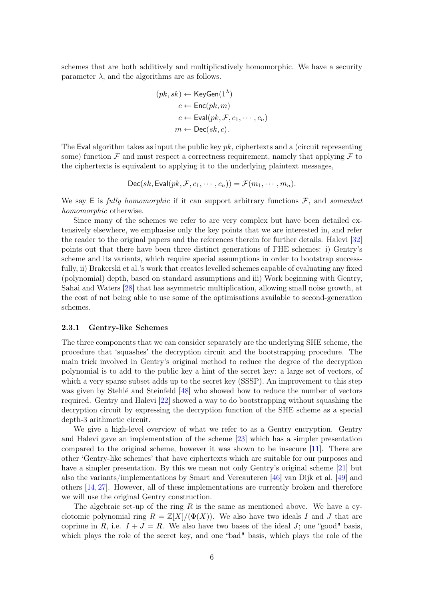<span id="page-5-0"></span>schemes that are both additively and multiplicatively homomorphic. We have a security parameter  $\lambda$ , and the algorithms are as follows.

$$
(pk, sk) \leftarrow \text{KeyGen}(1^{\lambda})
$$

$$
c \leftarrow \text{Enc}(pk, m)
$$

$$
c \leftarrow \text{Eval}(pk, \mathcal{F}, c_1, \cdots, c_n)
$$

$$
m \leftarrow \text{Dec}(sk, c).
$$

The Eval algorithm takes as input the public key  $pk$ , ciphertexts and a (circuit representing some) function  $\mathcal F$  and must respect a correctness requirement, namely that applying  $\mathcal F$  to the ciphertexts is equivalent to applying it to the underlying plaintext messages,

$$
\mathsf{Dec}(sk, \mathsf{Eval}(pk, \mathcal{F}, c_1, \cdots, c_n)) = \mathcal{F}(m_1, \cdots, m_n).
$$

We say E is fully homomorphic if it can support arbitrary functions  $\mathcal{F}$ , and somewhat homomorphic otherwise.

Since many of the schemes we refer to are very complex but have been detailed extensively elsewhere, we emphasise only the key points that we are interested in, and refer the reader to the original papers and the references therein for further details. Halevi [\[32\]](#page-14-3) points out that there have been three distinct generations of FHE schemes: i) Gentry's scheme and its variants, which require special assumptions in order to bootstrap successfully, ii) Brakerski et al.'s work that creates levelled schemes capable of evaluating any fixed (polynomial) depth, based on standard assumptions and iii) Work beginning with Gentry, Sahai and Waters [\[28\]](#page-14-4) that has asymmetric multiplication, allowing small noise growth, at the cost of not being able to use some of the optimisations available to second-generation schemes.

#### 2.3.1 Gentry-like Schemes

The three components that we can consider separately are the underlying SHE scheme, the procedure that 'squashes' the decryption circuit and the bootstrapping procedure. The main trick involved in Gentry's original method to reduce the degree of the decryption polynomial is to add to the public key a hint of the secret key: a large set of vectors, of which a very sparse subset adds up to the secret key (SSSP). An improvement to this step was given by Stehlé and Steinfeld [\[48\]](#page-15-4) who showed how to reduce the number of vectors required. Gentry and Halevi [\[22\]](#page-13-6) showed a way to do bootstrapping without squashing the decryption circuit by expressing the decryption function of the SHE scheme as a special depth-3 arithmetic circuit.

We give a high-level overview of what we refer to as a Gentry encryption. Gentry and Halevi gave an implementation of the scheme [\[23\]](#page-13-7) which has a simpler presentation compared to the original scheme, however it was shown to be insecure [\[11\]](#page-12-6). There are other 'Gentry-like schemes' that have ciphertexts which are suitable for our purposes and have a simpler presentation. By this we mean not only Gentry's original scheme [\[21\]](#page-13-2) but also the variants/implementations by Smart and Vercauteren [\[46\]](#page-15-5) van Dijk et al. [\[49\]](#page-15-0) and others [\[14,](#page-13-8) [27\]](#page-14-5). However, all of these implementations are currently broken and therefore we will use the original Gentry construction.

The algebraic set-up of the ring  $R$  is the same as mentioned above. We have a cyclotomic polynomial ring  $R = \mathbb{Z}[X]/(\Phi(X))$ . We also have two ideals I and J that are coprime in R, i.e.  $I + J = R$ . We also have two bases of the ideal J; one "good" basis, which plays the role of the secret key, and one "bad" basis, which plays the role of the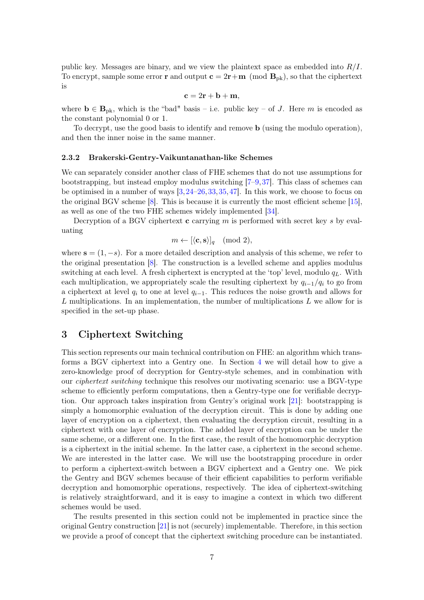<span id="page-6-0"></span>public key. Messages are binary, and we view the plaintext space as embedded into  $R/I$ . To encrypt, sample some error **r** and output  $c = 2r+m \pmod{B_{pk}}$ , so that the ciphertext is

$$
\mathbf{c} = 2\mathbf{r} + \mathbf{b} + \mathbf{m},
$$

where  $\mathbf{b} \in \mathbf{B}_{\text{pk}}$ , which is the "bad" basis – i.e. public key – of J. Here m is encoded as the constant polynomial 0 or 1.

To decrypt, use the good basis to identify and remove b (using the modulo operation), and then the inner noise in the same manner.

#### 2.3.2 Brakerski-Gentry-Vaikuntanathan-like Schemes

We can separately consider another class of FHE schemes that do not use assumptions for bootstrapping, but instead employ modulus switching [\[7–](#page-12-7)[9,](#page-12-8)[37\]](#page-14-6). This class of schemes can be optimised in a number of ways [\[3,](#page-12-9)[24–](#page-13-9)[26,](#page-13-10)[33,](#page-14-7)[35,](#page-14-8)[47\]](#page-15-6). In this work, we choose to focus on the original BGV scheme [\[8\]](#page-12-0). This is because it is currently the most efficient scheme [\[15\]](#page-13-4), as well as one of the two FHE schemes widely implemented [\[34\]](#page-14-9).

Decryption of a BGV ciphertext  $\bf{c}$  carrying m is performed with secret key s by evaluating

$$
m \leftarrow [\langle \mathbf{c}, \mathbf{s} \rangle]_q \pmod{2},
$$

where  $s = (1, -s)$ . For a more detailed description and analysis of this scheme, we refer to the original presentation [\[8\]](#page-12-0). The construction is a levelled scheme and applies modulus switching at each level. A fresh ciphertext is encrypted at the 'top' level, modulo  $q_L$ . With each multiplication, we appropriately scale the resulting ciphertext by  $q_{i-1}/q_i$  to go from a ciphertext at level  $q_i$  to one at level  $q_{i-1}$ . This reduces the noise growth and allows for L multiplications. In an implementation, the number of multiplications  $L$  we allow for is specified in the set-up phase.

# 3 Ciphertext Switching

This section represents our main technical contribution on FHE: an algorithm which transforms a BGV ciphertext into a Gentry one. In Section [4](#page-10-0) we will detail how to give a zero-knowledge proof of decryption for Gentry-style schemes, and in combination with our ciphertext switching technique this resolves our motivating scenario: use a BGV-type scheme to efficiently perform computations, then a Gentry-type one for verifiable decryption. Our approach takes inspiration from Gentry's original work [\[21\]](#page-13-2): bootstrapping is simply a homomorphic evaluation of the decryption circuit. This is done by adding one layer of encryption on a ciphertext, then evaluating the decryption circuit, resulting in a ciphertext with one layer of encryption. The added layer of encryption can be under the same scheme, or a different one. In the first case, the result of the homomorphic decryption is a ciphertext in the initial scheme. In the latter case, a ciphertext in the second scheme. We are interested in the latter case. We will use the bootstrapping procedure in order to perform a ciphertext-switch between a BGV ciphertext and a Gentry one. We pick the Gentry and BGV schemes because of their efficient capabilities to perform verifiable decryption and homomorphic operations, respectively. The idea of ciphertext-switching is relatively straightforward, and it is easy to imagine a context in which two different schemes would be used.

The results presented in this section could not be implemented in practice since the original Gentry construction [\[21\]](#page-13-2) is not (securely) implementable. Therefore, in this section we provide a proof of concept that the ciphertext switching procedure can be instantiated.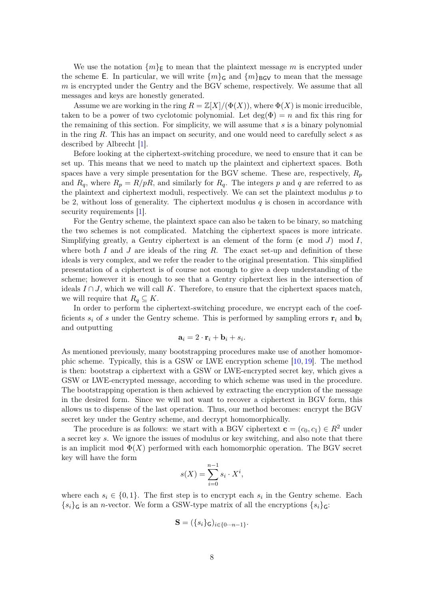<span id="page-7-0"></span>We use the notation  $\{m\}_{E}$  to mean that the plaintext message m is encrypted under the scheme E. In particular, we will write  ${m}_{\mathsf{G}}$  and  ${m}_{\mathsf{BGV}}$  to mean that the message m is encrypted under the Gentry and the BGV scheme, respectively. We assume that all messages and keys are honestly generated.

Assume we are working in the ring  $R = \mathbb{Z}[X]/(\Phi(X))$ , where  $\Phi(X)$  is monic irreducible, taken to be a power of two cyclotomic polynomial. Let  $deg(\Phi) = n$  and fix this ring for the remaining of this section. For simplicity, we will assume that  $s$  is a binary polynomial in the ring R. This has an impact on security, and one would need to carefully select s as described by Albrecht [\[1\]](#page-12-10).

Before looking at the ciphertext-switching procedure, we need to ensure that it can be set up. This means that we need to match up the plaintext and ciphertext spaces. Both spaces have a very simple presentation for the BGV scheme. These are, respectively,  $R_p$ and  $R_q$ , where  $R_p = R/pR$ , and similarly for  $R_q$ . The integers p and q are referred to as the plaintext and ciphertext moduli, respectively. We can set the plaintext modulus  $p$  to be 2, without loss of generality. The ciphertext modulus q is chosen in accordance with security requirements [\[1\]](#page-12-10).

For the Gentry scheme, the plaintext space can also be taken to be binary, so matching the two schemes is not complicated. Matching the ciphertext spaces is more intricate. Simplifying greatly, a Gentry ciphertext is an element of the form  $(c \mod J) \mod I$ , where both I and J are ideals of the ring R. The exact set-up and definition of these ideals is very complex, and we refer the reader to the original presentation. This simplified presentation of a ciphertext is of course not enough to give a deep understanding of the scheme; however it is enough to see that a Gentry ciphertext lies in the intersection of ideals  $I \cap J$ , which we will call K. Therefore, to ensure that the ciphertext spaces match, we will require that  $R_q \subseteq K$ .

In order to perform the ciphertext-switching procedure, we encrypt each of the coefficients  $s_i$  of s under the Gentry scheme. This is performed by sampling errors  $r_i$  and  $b_i$ and outputting

$$
\mathbf{a}_i = 2 \cdot \mathbf{r}_i + \mathbf{b}_i + s_i.
$$

As mentioned previously, many bootstrapping procedures make use of another homomorphic scheme. Typically, this is a GSW or LWE encryption scheme [\[10,](#page-12-4) [19\]](#page-13-3). The method is then: bootstrap a ciphertext with a GSW or LWE-encrypted secret key, which gives a GSW or LWE-encrypted message, according to which scheme was used in the procedure. The bootstrapping operation is then achieved by extracting the encryption of the message in the desired form. Since we will not want to recover a ciphertext in BGV form, this allows us to dispense of the last operation. Thus, our method becomes: encrypt the BGV secret key under the Gentry scheme, and decrypt homomorphically.

The procedure is as follows: we start with a BGV ciphertext  $\mathbf{c} = (c_0, c_1) \in R^2$  under a secret key s. We ignore the issues of modulus or key switching, and also note that there is an implicit mod  $\Phi(X)$  performed with each homomorphic operation. The BGV secret key will have the form

$$
s(X) = \sum_{i=0}^{n-1} s_i \cdot X^i,
$$

where each  $s_i \in \{0,1\}$ . The first step is to encrypt each  $s_i$  in the Gentry scheme. Each  ${s_i}_{\mathsf{G}}$  is an *n*-vector. We form a GSW-type matrix of all the encryptions  ${s_i}_{\mathsf{G}}$ :

$$
\mathbf{S} = (\{s_i\}_{\mathsf{G}})_{i \in \{0 \cdots n-1\}}.
$$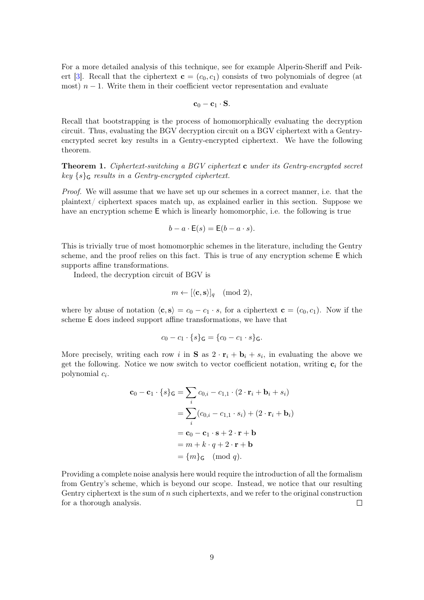<span id="page-8-1"></span>For a more detailed analysis of this technique, see for example Alperin-Sheriff and Peik-ert [\[3\]](#page-12-9). Recall that the ciphertext  $c = (c_0, c_1)$  consists of two polynomials of degree (at most)  $n-1$ . Write them in their coefficient vector representation and evaluate

$$
\mathbf{c}_0-\mathbf{c}_1\cdot\mathbf{S}.
$$

Recall that bootstrapping is the process of homomorphically evaluating the decryption circuit. Thus, evaluating the BGV decryption circuit on a BGV ciphertext with a Gentryencrypted secret key results in a Gentry-encrypted ciphertext. We have the following theorem.

<span id="page-8-0"></span>Theorem 1. Ciphertext-switching a BGV ciphertext c under its Gentry-encrypted secret  $key\{s\}_{\mathsf{G}}$  results in a Gentry-encrypted ciphertext.

Proof. We will assume that we have set up our schemes in a correct manner, i.e. that the plaintext/ ciphertext spaces match up, as explained earlier in this section. Suppose we have an encryption scheme E which is linearly homomorphic, i.e. the following is true

$$
b - a \cdot \mathsf{E}(s) = \mathsf{E}(b - a \cdot s).
$$

This is trivially true of most homomorphic schemes in the literature, including the Gentry scheme, and the proof relies on this fact. This is true of any encryption scheme E which supports affine transformations.

Indeed, the decryption circuit of BGV is

$$
m \leftarrow [\langle \mathbf{c}, \mathbf{s} \rangle]_q \pmod{2},
$$

where by abuse of notation  $\langle \mathbf{c}, \mathbf{s} \rangle = c_0 - c_1 \cdot s$ , for a ciphertext  $\mathbf{c} = (c_0, c_1)$ . Now if the scheme E does indeed support affine transformations, we have that

$$
c_0 - c_1 \cdot \{s\}_{\mathsf{G}} = \{c_0 - c_1 \cdot s\}_{\mathsf{G}}.
$$

More precisely, writing each row i in **S** as  $2 \cdot \mathbf{r}_i + \mathbf{b}_i + s_i$ , in evaluating the above we get the following. Notice we now switch to vector coefficient notation, writing  $c_i$  for the polynomial  $c_i$ .

$$
\mathbf{c}_0 - \mathbf{c}_1 \cdot \{s\}_{\mathsf{G}} = \sum_i c_{0,i} - c_{1,1} \cdot (2 \cdot \mathbf{r}_i + \mathbf{b}_i + s_i)
$$
  
= 
$$
\sum_i (c_{0,i} - c_{1,1} \cdot s_i) + (2 \cdot \mathbf{r}_i + \mathbf{b}_i)
$$
  
= 
$$
\mathbf{c}_0 - \mathbf{c}_1 \cdot \mathbf{s} + 2 \cdot \mathbf{r} + \mathbf{b}
$$
  
= 
$$
m + k \cdot q + 2 \cdot \mathbf{r} + \mathbf{b}
$$
  
= 
$$
\{m\}_{\mathsf{G}} \pmod{q}.
$$

Providing a complete noise analysis here would require the introduction of all the formalism from Gentry's scheme, which is beyond our scope. Instead, we notice that our resulting Gentry ciphertext is the sum of n such ciphertexts, and we refer to the original construction for a thorough analysis.  $\Box$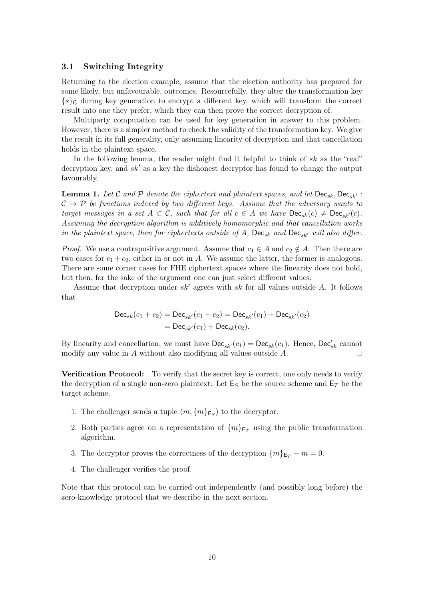### 3.1 Switching Integrity

Returning to the election example, assume that the election authority has prepared for some likely, but unfavourable, outcomes. Resourcefully, they alter the transformation key  ${s}_{\mathsf{G}}$  during key generation to encrypt a different key, which will transform the correct result into one they prefer, which they can then prove the correct decryption of.

Multiparty computation can be used for key generation in answer to this problem. However, there is a simpler method to check the validity of the transformation key. We give the result in its full generality, only assuming linearity of decryption and that cancellation holds in the plaintext space.

In the following lemma, the reader might find it helpful to think of  $sk$  as the "real" decryption key, and  $sk'$  as a key the dishonest decryptor has found to change the output favourably.

<span id="page-9-0"></span>**Lemma 1.** Let C and P denote the ciphertext and plaintext spaces, and let  $\text{Dec}_{sk}$ ,  $\text{Dec}_{sk'}$ :  $C \rightarrow \mathcal{P}$  be functions indexed by two different keys. Assume that the adversary wants to target messages in a set  $A \subset \mathcal{C}$ , such that for all  $c \in A$  we have  $\text{Dec}_{sk}(c) \neq \text{Dec}_{sk'}(c)$ . Assuming the decryption algorithm is additively homomorphic and that cancellation works in the plaintext space, then for ciphertexts outside of A,  $\text{Dec}_{sk}$  and  $\text{Dec}_{sk'}$  will also differ.

*Proof.* We use a contrapositive argument. Assume that  $c_1 \in A$  and  $c_2 \notin A$ . Then there are two cases for  $c_1 + c_2$ , either in or not in A. We assume the latter, the former is analogous. There are some corner cases for FHE ciphertext spaces where the linearity does not hold, but then, for the sake of the argument one can just select different values.

Assume that decryption under  $sk'$  agrees with sk for all values outside A. It follows that

$$
Dec_{sk}(c_1 + c_2) = Dec_{sk'}(c_1 + c_2) = Dec_{sk'}(c_1) + Dec_{sk'}(c_2)
$$
  
= Dec\_{sk'}(c\_1) + Dec\_{sk}(c\_2).

By linearity and cancellation, we must have  $\mathsf{Dec}_{sk}(c_1) = \mathsf{Dec}_{sk}(c_1)$ . Hence,  $\mathsf{Dec}_{sk}^{\prime}$  cannot modify any value in A without also modifying all values outside A.  $\Box$ 

Verification Protocol: To verify that the secret key is correct, one only needs to verify the decryption of a single non-zero plaintext. Let  $\mathsf{E}_S$  be the source scheme and  $\mathsf{E}_T$  be the target scheme.

- 1. The challenger sends a tuple  $(m, \{m\}_{\mathsf{E}_S})$  to the decryptor.
- 2. Both parties agree on a representation of  $\{m\}_{\text{E}_T}$  using the public transformation algorithm.
- 3. The decryptor proves the correctness of the decryption  $\{m\}_{E_T} m = 0$ .
- 4. The challenger verifies the proof.

Note that this protocol can be carried out independently (and possibly long before) the zero-knowledge protocol that we describe in the next section.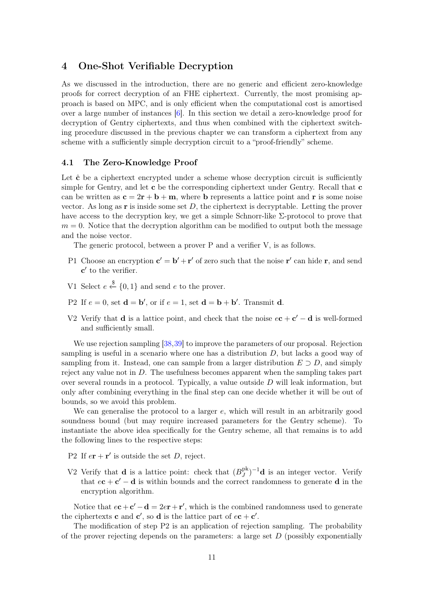# <span id="page-10-1"></span><span id="page-10-0"></span>4 One-Shot Verifiable Decryption

As we discussed in the introduction, there are no generic and efficient zero-knowledge proofs for correct decryption of an FHE ciphertext. Currently, the most promising approach is based on MPC, and is only efficient when the computational cost is amortised over a large number of instances [\[6\]](#page-12-11). In this section we detail a zero-knowledge proof for decryption of Gentry ciphertexts, and thus when combined with the ciphertext switching procedure discussed in the previous chapter we can transform a ciphertext from any scheme with a sufficiently simple decryption circuit to a "proof-friendly" scheme.

#### 4.1 The Zero-Knowledge Proof

Let  $\hat{\mathbf{c}}$  be a ciphertext encrypted under a scheme whose decryption circuit is sufficiently simple for Gentry, and let c be the corresponding ciphertext under Gentry. Recall that c can be written as  $c = 2r + b + m$ , where b represents a lattice point and r is some noise vector. As long as  $\bf{r}$  is inside some set  $D$ , the ciphertext is decryptable. Letting the prover have access to the decryption key, we get a simple Schnorr-like Σ-protocol to prove that  $m = 0$ . Notice that the decryption algorithm can be modified to output both the message and the noise vector.

The generic protocol, between a prover P and a verifier V, is as follows.

- P1 Choose an encryption  $\mathbf{c}' = \mathbf{b}' + \mathbf{r}'$  of zero such that the noise  $\mathbf{r}'$  can hide r, and send  $\mathbf{c}'$  to the verifier.
- V1 Select  $e \stackrel{\$}{\leftarrow} \{0,1\}$  and send e to the prover.
- P2 If  $e = 0$ , set  $\mathbf{d} = \mathbf{b}'$ , or if  $e = 1$ , set  $\mathbf{d} = \mathbf{b} + \mathbf{b}'$ . Transmit d.
- V2 Verify that **d** is a lattice point, and check that the noise  $e\mathbf{c} + \mathbf{c}' \mathbf{d}$  is well-formed and sufficiently small.

We use rejection sampling [\[38,](#page-14-10)[39\]](#page-14-11) to improve the parameters of our proposal. Rejection sampling is useful in a scenario where one has a distribution D, but lacks a good way of sampling from it. Instead, one can sample from a larger distribution  $E \supset D$ , and simply reject any value not in D. The usefulness becomes apparent when the sampling takes part over several rounds in a protocol. Typically, a value outside  $D$  will leak information, but only after combining everything in the final step can one decide whether it will be out of bounds, so we avoid this problem.

We can generalise the protocol to a larger e, which will result in an arbitrarily good soundness bound (but may require increased parameters for the Gentry scheme). To instantiate the above idea specifically for the Gentry scheme, all that remains is to add the following lines to the respective steps:

- P2 If  $e\mathbf{r} + \mathbf{r}'$  is outside the set D, reject.
- V2 Verify that **d** is a lattice point: check that  $(B^{\text{pk}}_{I})$  $J^{pk}$  $j^{-1}$ **d** is an integer vector. Verify that  $e\mathbf{c} + \mathbf{c}' - \mathbf{d}$  is within bounds and the correct randomness to generate  $\mathbf{d}$  in the encryption algorithm.

Notice that  $e\mathbf{c} + \mathbf{c}' - \mathbf{d} = 2e\mathbf{r} + \mathbf{r}'$ , which is the combined randomness used to generate the ciphertexts **c** and **c'**, so **d** is the lattice part of  $e\mathbf{c} + \mathbf{c}'$ .

The modification of step P2 is an application of rejection sampling. The probability of the prover rejecting depends on the parameters: a large set  $D$  (possibly exponentially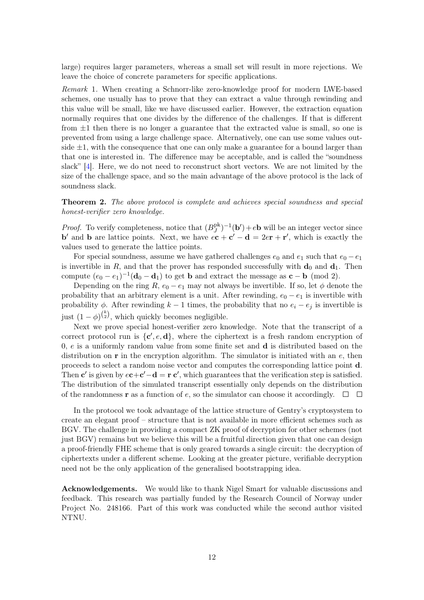<span id="page-11-1"></span>large) requires larger parameters, whereas a small set will result in more rejections. We leave the choice of concrete parameters for specific applications.

Remark 1. When creating a Schnorr-like zero-knowledge proof for modern LWE-based schemes, one usually has to prove that they can extract a value through rewinding and this value will be small, like we have discussed earlier. However, the extraction equation normally requires that one divides by the difference of the challenges. If that is different from  $\pm 1$  then there is no longer a guarantee that the extracted value is small, so one is prevented from using a large challenge space. Alternatively, one can use some values outside  $\pm 1$ , with the consequence that one can only make a guarantee for a bound larger than that one is interested in. The difference may be acceptable, and is called the "soundness slack" [\[4\]](#page-12-1). Here, we do not need to reconstruct short vectors. We are not limited by the size of the challenge space, and so the main advantage of the above protocol is the lack of soundness slack.

<span id="page-11-0"></span>Theorem 2. The above protocol is complete and achieves special soundness and special honest-verifier zero knowledge.

*Proof.* To verify completeness, notice that  $(B^{\text{pk}}_{I})$  $J_J^{\text{pk}}$  $^{-1}$ (**b'**) + e**b** will be an integer vector since **b'** and **b** are lattice points. Next, we have  $e\mathbf{c} + \mathbf{c}' - \mathbf{d} = 2e\mathbf{r} + \mathbf{r}'$ , which is exactly the values used to generate the lattice points.

For special soundness, assume we have gathered challenges  $e_0$  and  $e_1$  such that  $e_0 - e_1$ is invertible in R, and that the prover has responded successfully with  $\mathbf{d}_0$  and  $\mathbf{d}_1$ . Then compute  $(e_0 - e_1)^{-1}(\mathbf{d}_0 - \mathbf{d}_1)$  to get **b** and extract the message as **c** – **b** (mod 2).

Depending on the ring  $R$ ,  $e_0 - e_1$  may not always be invertible. If so, let  $\phi$  denote the probability that an arbitrary element is a unit. After rewinding,  $e_0 - e_1$  is invertible with probability  $\phi$ . After rewinding  $k-1$  times, the probability that no  $e_i - e_j$  is invertible is just  $(1 - \phi)^{k \choose 2}$ , which quickly becomes negligible.

Next we prove special honest-verifier zero knowledge. Note that the transcript of a correct protocol run is  $\{c', e, d\}$ , where the ciphertext is a fresh random encryption of 0, e is a uniformly random value from some finite set and d is distributed based on the distribution on  $\bf{r}$  in the encryption algorithm. The simulator is initiated with an  $e$ , then proceeds to select a random noise vector and computes the corresponding lattice point d. Then **c'** is given by  $e\mathbf{c}+\mathbf{c}'-\mathbf{d} = \mathbf{r}\mathbf{c}'$ , which guarantees that the verification step is satisfied. The distribution of the simulated transcript essentially only depends on the distribution of the randomness **r** as a function of e, so the simulator can choose it accordingly.  $\Box$ 

In the protocol we took advantage of the lattice structure of Gentry's cryptosystem to create an elegant proof – structure that is not available in more efficient schemes such as BGV. The challenge in providing a compact ZK proof of decryption for other schemes (not just BGV) remains but we believe this will be a fruitful direction given that one can design a proof-friendly FHE scheme that is only geared towards a single circuit: the decryption of ciphertexts under a different scheme. Looking at the greater picture, verifiable decryption need not be the only application of the generalised bootstrapping idea.

Acknowledgements. We would like to thank Nigel Smart for valuable discussions and feedback. This research was partially funded by the Research Council of Norway under Project No. 248166. Part of this work was conducted while the second author visited NTNU.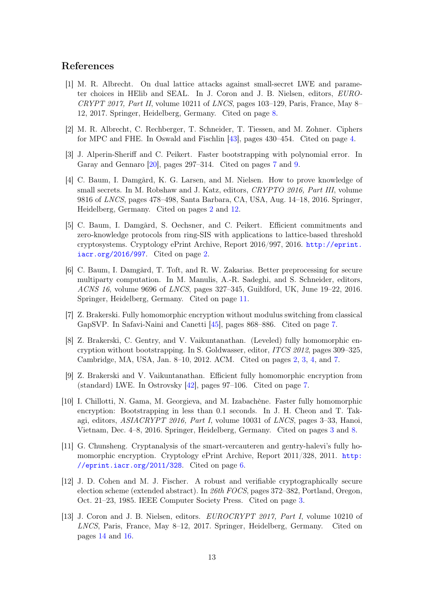# <span id="page-12-13"></span>References

- <span id="page-12-10"></span>[1] M. R. Albrecht. On dual lattice attacks against small-secret LWE and parameter choices in HElib and SEAL. In J. Coron and J. B. Nielsen, editors, EURO-CRYPT 2017, Part II, volume 10211 of LNCS, pages 103–129, Paris, France, May 8– 12, 2017. Springer, Heidelberg, Germany. Cited on page [8.](#page-7-0)
- <span id="page-12-5"></span>[2] M. R. Albrecht, C. Rechberger, T. Schneider, T. Tiessen, and M. Zohner. Ciphers for MPC and FHE. In Oswald and Fischlin [\[43\]](#page-15-7), pages 430–454. Cited on page [4.](#page-3-0)
- <span id="page-12-9"></span>[3] J. Alperin-Sheriff and C. Peikert. Faster bootstrapping with polynomial error. In Garay and Gennaro [\[20\]](#page-13-11), pages 297–314. Cited on pages [7](#page-6-0) and [9.](#page-8-1)
- <span id="page-12-1"></span>[4] C. Baum, I. Damgård, K. G. Larsen, and M. Nielsen. How to prove knowledge of small secrets. In M. Robshaw and J. Katz, editors, CRYPTO 2016, Part III, volume 9816 of LNCS, pages 478–498, Santa Barbara, CA, USA, Aug. 14–18, 2016. Springer, Heidelberg, Germany. Cited on pages [2](#page-1-0) and [12.](#page-11-1)
- <span id="page-12-2"></span>[5] C. Baum, I. Damgård, S. Oechsner, and C. Peikert. Efficient commitments and zero-knowledge protocols from ring-SIS with applications to lattice-based threshold cryptosystems. Cryptology ePrint Archive, Report 2016/997, 2016. [http://eprint.](http://eprint.iacr.org/2016/997) [iacr.org/2016/997](http://eprint.iacr.org/2016/997). Cited on page [2.](#page-1-0)
- <span id="page-12-11"></span>[6] C. Baum, I. Damgård, T. Toft, and R. W. Zakarias. Better preprocessing for secure multiparty computation. In M. Manulis, A.-R. Sadeghi, and S. Schneider, editors, ACNS 16, volume 9696 of LNCS, pages 327–345, Guildford, UK, June 19–22, 2016. Springer, Heidelberg, Germany. Cited on page [11.](#page-10-1)
- <span id="page-12-7"></span>[7] Z. Brakerski. Fully homomorphic encryption without modulus switching from classical GapSVP. In Safavi-Naini and Canetti [\[45\]](#page-15-8), pages 868–886. Cited on page [7.](#page-6-0)
- <span id="page-12-0"></span>[8] Z. Brakerski, C. Gentry, and V. Vaikuntanathan. (Leveled) fully homomorphic encryption without bootstrapping. In S. Goldwasser, editor, ITCS 2012, pages 309–325, Cambridge, MA, USA, Jan. 8–10, 2012. ACM. Cited on pages [2,](#page-1-0) [3,](#page-2-1) [4,](#page-3-0) and [7.](#page-6-0)
- <span id="page-12-8"></span>[9] Z. Brakerski and V. Vaikuntanathan. Efficient fully homomorphic encryption from (standard) LWE. In Ostrovsky [\[42\]](#page-15-9), pages 97–106. Cited on page [7.](#page-6-0)
- <span id="page-12-4"></span>[10] I. Chillotti, N. Gama, M. Georgieva, and M. Izabachène. Faster fully homomorphic encryption: Bootstrapping in less than 0.1 seconds. In J. H. Cheon and T. Takagi, editors, ASIACRYPT 2016, Part I, volume 10031 of LNCS, pages 3–33, Hanoi, Vietnam, Dec. 4–8, 2016. Springer, Heidelberg, Germany. Cited on pages [3](#page-2-1) and [8.](#page-7-0)
- <span id="page-12-6"></span>[11] G. Chunsheng. Cryptanalysis of the smart-vercauteren and gentry-halevi's fully homomorphic encryption. Cryptology ePrint Archive, Report 2011/328, 2011. [http:](http://eprint.iacr.org/2011/328) [//eprint.iacr.org/2011/328](http://eprint.iacr.org/2011/328). Cited on page [6.](#page-5-0)
- <span id="page-12-3"></span>[12] J. D. Cohen and M. J. Fischer. A robust and verifiable cryptographically secure election scheme (extended abstract). In 26th FOCS, pages 372–382, Portland, Oregon, Oct. 21–23, 1985. IEEE Computer Society Press. Cited on page [3.](#page-2-1)
- <span id="page-12-12"></span>[13] J. Coron and J. B. Nielsen, editors. EUROCRYPT 2017, Part I, volume 10210 of LNCS, Paris, France, May 8–12, 2017. Springer, Heidelberg, Germany. Cited on pages [14](#page-13-12) and [16.](#page-15-10)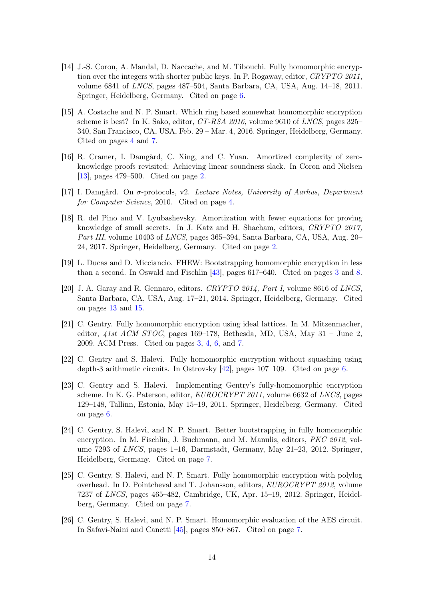- <span id="page-13-12"></span><span id="page-13-8"></span>[14] J.-S. Coron, A. Mandal, D. Naccache, and M. Tibouchi. Fully homomorphic encryption over the integers with shorter public keys. In P. Rogaway, editor, CRYPTO 2011, volume 6841 of LNCS, pages 487–504, Santa Barbara, CA, USA, Aug. 14–18, 2011. Springer, Heidelberg, Germany. Cited on page [6.](#page-5-0)
- <span id="page-13-4"></span>[15] A. Costache and N. P. Smart. Which ring based somewhat homomorphic encryption scheme is best? In K. Sako, editor, CT-RSA 2016, volume 9610 of LNCS, pages 325– 340, San Francisco, CA, USA, Feb. 29 – Mar. 4, 2016. Springer, Heidelberg, Germany. Cited on pages [4](#page-3-0) and [7.](#page-6-0)
- <span id="page-13-0"></span>[16] R. Cramer, I. Damgård, C. Xing, and C. Yuan. Amortized complexity of zeroknowledge proofs revisited: Achieving linear soundness slack. In Coron and Nielsen [\[13\]](#page-12-12), pages 479–500. Cited on page [2.](#page-1-0)
- <span id="page-13-5"></span>[17] I. Damgård. On σ-protocols, v2. Lecture Notes, University of Aarhus, Department for Computer Science, 2010. Cited on page [4.](#page-3-0)
- <span id="page-13-1"></span>[18] R. del Pino and V. Lyubashevsky. Amortization with fewer equations for proving knowledge of small secrets. In J. Katz and H. Shacham, editors, CRYPTO 2017, Part III, volume 10403 of LNCS, pages 365–394, Santa Barbara, CA, USA, Aug. 20– 24, 2017. Springer, Heidelberg, Germany. Cited on page [2.](#page-1-0)
- <span id="page-13-3"></span>[19] L. Ducas and D. Micciancio. FHEW: Bootstrapping homomorphic encryption in less than a second. In Oswald and Fischlin [\[43\]](#page-15-7), pages 617–640. Cited on pages [3](#page-2-1) and [8.](#page-7-0)
- <span id="page-13-11"></span>[20] J. A. Garay and R. Gennaro, editors. CRYPTO 2014, Part I, volume 8616 of LNCS, Santa Barbara, CA, USA, Aug. 17–21, 2014. Springer, Heidelberg, Germany. Cited on pages [13](#page-12-13) and [15.](#page-14-12)
- <span id="page-13-2"></span>[21] C. Gentry. Fully homomorphic encryption using ideal lattices. In M. Mitzenmacher, editor,  $\triangle$ 1st ACM STOC, pages 169–178, Bethesda, MD, USA, May 31 – June 2, 2009. ACM Press. Cited on pages [3,](#page-2-1) [4,](#page-3-0) [6,](#page-5-0) and [7.](#page-6-0)
- <span id="page-13-6"></span>[22] C. Gentry and S. Halevi. Fully homomorphic encryption without squashing using depth-3 arithmetic circuits. In Ostrovsky [\[42\]](#page-15-9), pages 107–109. Cited on page [6.](#page-5-0)
- <span id="page-13-7"></span>[23] C. Gentry and S. Halevi. Implementing Gentry's fully-homomorphic encryption scheme. In K. G. Paterson, editor, *EUROCRYPT 2011*, volume 6632 of *LNCS*, pages 129–148, Tallinn, Estonia, May 15–19, 2011. Springer, Heidelberg, Germany. Cited on page [6.](#page-5-0)
- <span id="page-13-9"></span>[24] C. Gentry, S. Halevi, and N. P. Smart. Better bootstrapping in fully homomorphic encryption. In M. Fischlin, J. Buchmann, and M. Manulis, editors, PKC 2012, volume 7293 of LNCS, pages 1–16, Darmstadt, Germany, May 21–23, 2012. Springer, Heidelberg, Germany. Cited on page [7.](#page-6-0)
- [25] C. Gentry, S. Halevi, and N. P. Smart. Fully homomorphic encryption with polylog overhead. In D. Pointcheval and T. Johansson, editors, EUROCRYPT 2012, volume 7237 of LNCS, pages 465–482, Cambridge, UK, Apr. 15–19, 2012. Springer, Heidelberg, Germany. Cited on page [7.](#page-6-0)
- <span id="page-13-10"></span>[26] C. Gentry, S. Halevi, and N. P. Smart. Homomorphic evaluation of the AES circuit. In Safavi-Naini and Canetti [\[45\]](#page-15-8), pages 850–867. Cited on page [7.](#page-6-0)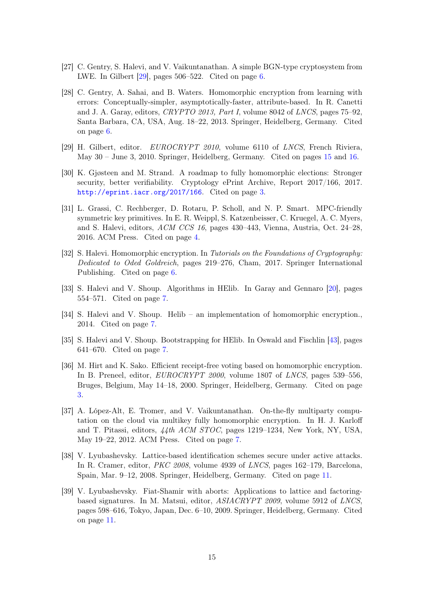- <span id="page-14-12"></span><span id="page-14-5"></span>[27] C. Gentry, S. Halevi, and V. Vaikuntanathan. A simple BGN-type cryptosystem from LWE. In Gilbert  $[29]$ , pages 506–522. Cited on page [6.](#page-5-0)
- <span id="page-14-4"></span>[28] C. Gentry, A. Sahai, and B. Waters. Homomorphic encryption from learning with errors: Conceptually-simpler, asymptotically-faster, attribute-based. In R. Canetti and J. A. Garay, editors, CRYPTO 2013, Part I, volume 8042 of LNCS, pages 75–92, Santa Barbara, CA, USA, Aug. 18–22, 2013. Springer, Heidelberg, Germany. Cited on page [6.](#page-5-0)
- <span id="page-14-13"></span>[29] H. Gilbert, editor. EUROCRYPT 2010, volume 6110 of LNCS, French Riviera, May 30 – June 3, 2010. Springer, Heidelberg, Germany. Cited on pages [15](#page-14-12) and [16.](#page-15-10)
- <span id="page-14-0"></span>[30] K. Gjøsteen and M. Strand. A roadmap to fully homomorphic elections: Stronger security, better verifiability. Cryptology ePrint Archive, Report 2017/166, 2017. <http://eprint.iacr.org/2017/166>. Cited on page [3.](#page-2-1)
- <span id="page-14-2"></span>[31] L. Grassi, C. Rechberger, D. Rotaru, P. Scholl, and N. P. Smart. MPC-friendly symmetric key primitives. In E. R. Weippl, S. Katzenbeisser, C. Kruegel, A. C. Myers, and S. Halevi, editors, ACM CCS 16, pages 430–443, Vienna, Austria, Oct. 24–28, 2016. ACM Press. Cited on page [4.](#page-3-0)
- <span id="page-14-3"></span>[32] S. Halevi. Homomorphic encryption. In Tutorials on the Foundations of Cryptography: Dedicated to Oded Goldreich, pages 219–276, Cham, 2017. Springer International Publishing. Cited on page [6.](#page-5-0)
- <span id="page-14-7"></span>[33] S. Halevi and V. Shoup. Algorithms in HElib. In Garay and Gennaro [\[20\]](#page-13-11), pages 554–571. Cited on page [7.](#page-6-0)
- <span id="page-14-9"></span>[34] S. Halevi and V. Shoup. Helib – an implementation of homomorphic encryption., 2014. Cited on page [7.](#page-6-0)
- <span id="page-14-8"></span>[35] S. Halevi and V. Shoup. Bootstrapping for HElib. In Oswald and Fischlin [\[43\]](#page-15-7), pages 641–670. Cited on page [7.](#page-6-0)
- <span id="page-14-1"></span>[36] M. Hirt and K. Sako. Efficient receipt-free voting based on homomorphic encryption. In B. Preneel, editor, EUROCRYPT 2000, volume 1807 of LNCS, pages 539–556, Bruges, Belgium, May 14–18, 2000. Springer, Heidelberg, Germany. Cited on page [3.](#page-2-1)
- <span id="page-14-6"></span>[37] A. López-Alt, E. Tromer, and V. Vaikuntanathan. On-the-fly multiparty computation on the cloud via multikey fully homomorphic encryption. In H. J. Karloff and T. Pitassi, editors, 44th ACM STOC, pages 1219–1234, New York, NY, USA, May 19–22, 2012. ACM Press. Cited on page [7.](#page-6-0)
- <span id="page-14-10"></span>[38] V. Lyubashevsky. Lattice-based identification schemes secure under active attacks. In R. Cramer, editor, PKC 2008, volume 4939 of LNCS, pages 162–179, Barcelona, Spain, Mar. 9–12, 2008. Springer, Heidelberg, Germany. Cited on page [11.](#page-10-1)
- <span id="page-14-11"></span>[39] V. Lyubashevsky. Fiat-Shamir with aborts: Applications to lattice and factoringbased signatures. In M. Matsui, editor, ASIACRYPT 2009, volume 5912 of LNCS, pages 598–616, Tokyo, Japan, Dec. 6–10, 2009. Springer, Heidelberg, Germany. Cited on page [11.](#page-10-1)